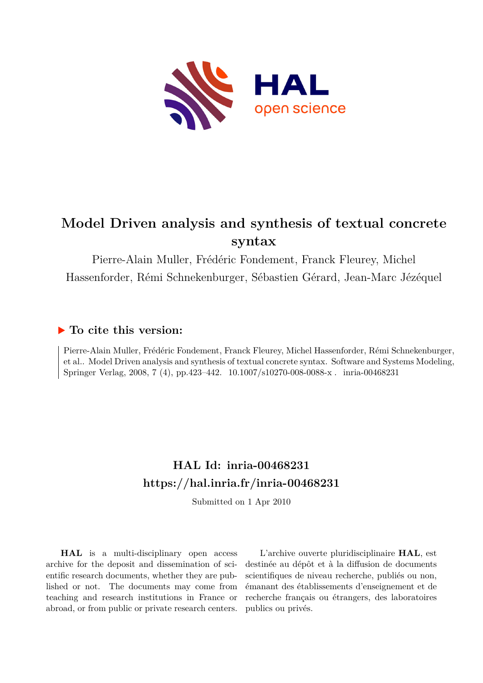

# **Model Driven analysis and synthesis of textual concrete syntax**

Pierre-Alain Muller, Frédéric Fondement, Franck Fleurey, Michel Hassenforder, Rémi Schnekenburger, Sébastien Gérard, Jean-Marc Jézéquel

# **To cite this version:**

Pierre-Alain Muller, Frédéric Fondement, Franck Fleurey, Michel Hassenforder, Rémi Schnekenburger, et al.. Model Driven analysis and synthesis of textual concrete syntax. Software and Systems Modeling, Springer Verlag, 2008, 7 (4), pp.423-442.  $10.1007/s10270-008-0088-x$ . inria-00468231

# **HAL Id: inria-00468231 <https://hal.inria.fr/inria-00468231>**

Submitted on 1 Apr 2010

**HAL** is a multi-disciplinary open access archive for the deposit and dissemination of scientific research documents, whether they are published or not. The documents may come from teaching and research institutions in France or abroad, or from public or private research centers.

L'archive ouverte pluridisciplinaire **HAL**, est destinée au dépôt et à la diffusion de documents scientifiques de niveau recherche, publiés ou non, émanant des établissements d'enseignement et de recherche français ou étrangers, des laboratoires publics ou privés.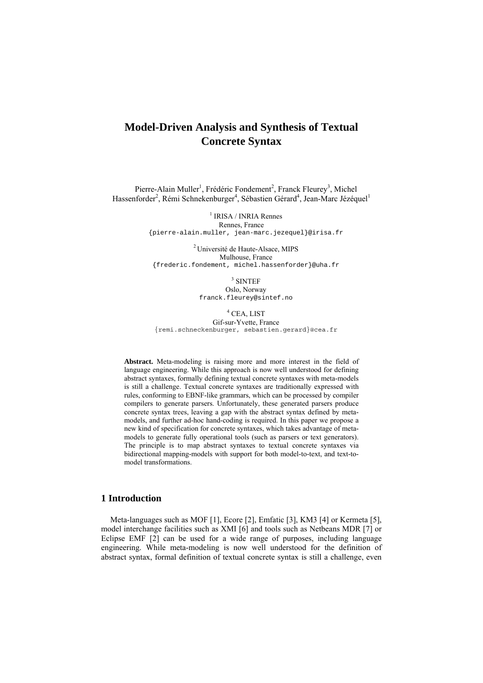# **Model-Driven Analysis and Synthesis of Textual Concrete Syntax**

Pierre-Alain Muller<sup>1</sup>, Frédéric Fondement<sup>2</sup>, Franck Fleurey<sup>3</sup>, Michel Hassenforder<sup>2</sup>, Rémi Schnekenburger<sup>4</sup>, Sébastien Gérard<sup>4</sup>, Jean-Marc Jézéquel<sup>1</sup>

> <sup>1</sup> IRISA / INRIA Rennes Rennes, France {pierre-alain.muller, jean-marc.jezequel}@irisa.fr

2 Université de Haute-Alsace, MIPS Mulhouse, France {frederic.fondement, michel.hassenforder}@uha.fr

> 3 SINTEF Oslo, Norway franck.fleurey@sintef.no

4 CEA, LIST Gif-sur-Yvette, France {remi.schneckenburger, sebastien.gerard}@cea.fr

**Abstract.** Meta-modeling is raising more and more interest in the field of language engineering. While this approach is now well understood for defining abstract syntaxes, formally defining textual concrete syntaxes with meta-models is still a challenge. Textual concrete syntaxes are traditionally expressed with rules, conforming to EBNF-like grammars, which can be processed by compiler compilers to generate parsers. Unfortunately, these generated parsers produce concrete syntax trees, leaving a gap with the abstract syntax defined by metamodels, and further ad-hoc hand-coding is required. In this paper we propose a new kind of specification for concrete syntaxes, which takes advantage of metamodels to generate fully operational tools (such as parsers or text generators). The principle is to map abstract syntaxes to textual concrete syntaxes via bidirectional mapping-models with support for both model-to-text, and text-tomodel transformations.

# **1 Introduction**

Meta-languages such as MOF [1], Ecore [2], Emfatic [3], KM3 [4] or Kermeta [5], model interchange facilities such as XMI [6] and tools such as Netbeans MDR [7] or Eclipse EMF [2] can be used for a wide range of purposes, including language engineering. While meta-modeling is now well understood for the definition of abstract syntax, formal definition of textual concrete syntax is still a challenge, even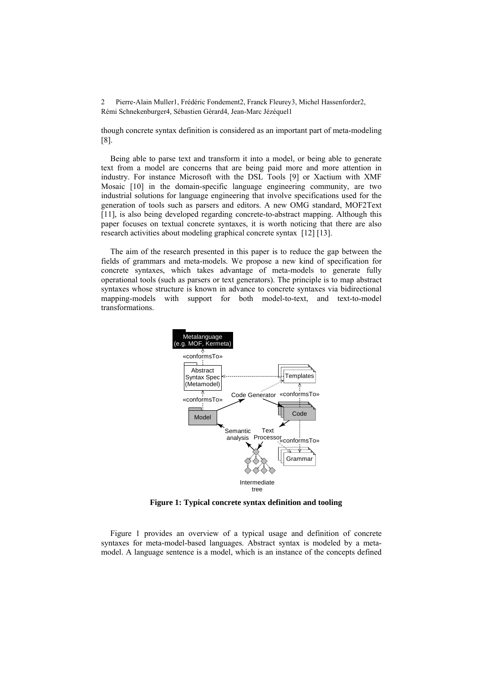though concrete syntax definition is considered as an important part of meta-modeling [8].

Being able to parse text and transform it into a model, or being able to generate text from a model are concerns that are being paid more and more attention in industry. For instance Microsoft with the DSL Tools [9] or Xactium with XMF Mosaic [10] in the domain-specific language engineering community, are two industrial solutions for language engineering that involve specifications used for the generation of tools such as parsers and editors. A new OMG standard, MOF2Text [11], is also being developed regarding concrete-to-abstract mapping. Although this paper focuses on textual concrete syntaxes, it is worth noticing that there are also research activities about modeling graphical concrete syntax [12] [13].

The aim of the research presented in this paper is to reduce the gap between the fields of grammars and meta-models. We propose a new kind of specification for concrete syntaxes, which takes advantage of meta-models to generate fully operational tools (such as parsers or text generators). The principle is to map abstract syntaxes whose structure is known in advance to concrete syntaxes via bidirectional mapping-models with support for both model-to-text, and text-to-model transformations.



**Figure 1: Typical concrete syntax definition and tooling** 

Figure 1 provides an overview of a typical usage and definition of concrete syntaxes for meta-model-based languages. Abstract syntax is modeled by a metamodel. A language sentence is a model, which is an instance of the concepts defined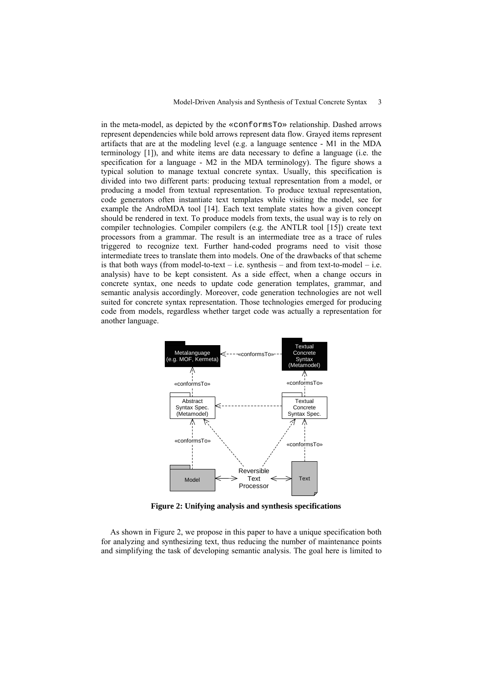in the meta-model, as depicted by the «conformsTo» relationship. Dashed arrows represent dependencies while bold arrows represent data flow. Grayed items represent artifacts that are at the modeling level (e.g. a language sentence - M1 in the MDA terminology [1]), and white items are data necessary to define a language (i.e. the specification for a language - M2 in the MDA terminology). The figure shows a typical solution to manage textual concrete syntax. Usually, this specification is divided into two different parts: producing textual representation from a model, or producing a model from textual representation. To produce textual representation, code generators often instantiate text templates while visiting the model, see for example the AndroMDA tool [14]. Each text template states how a given concept should be rendered in text. To produce models from texts, the usual way is to rely on compiler technologies. Compiler compilers (e.g. the ANTLR tool [15]) create text processors from a grammar. The result is an intermediate tree as a trace of rules triggered to recognize text. Further hand-coded programs need to visit those intermediate trees to translate them into models. One of the drawbacks of that scheme is that both ways (from model-to-text  $-$  i.e. synthesis  $-$  and from text-to-model  $-$  i.e. analysis) have to be kept consistent. As a side effect, when a change occurs in concrete syntax, one needs to update code generation templates, grammar, and semantic analysis accordingly. Moreover, code generation technologies are not well suited for concrete syntax representation. Those technologies emerged for producing code from models, regardless whether target code was actually a representation for another language.



**Figure 2: Unifying analysis and synthesis specifications** 

As shown in Figure 2, we propose in this paper to have a unique specification both for analyzing and synthesizing text, thus reducing the number of maintenance points and simplifying the task of developing semantic analysis. The goal here is limited to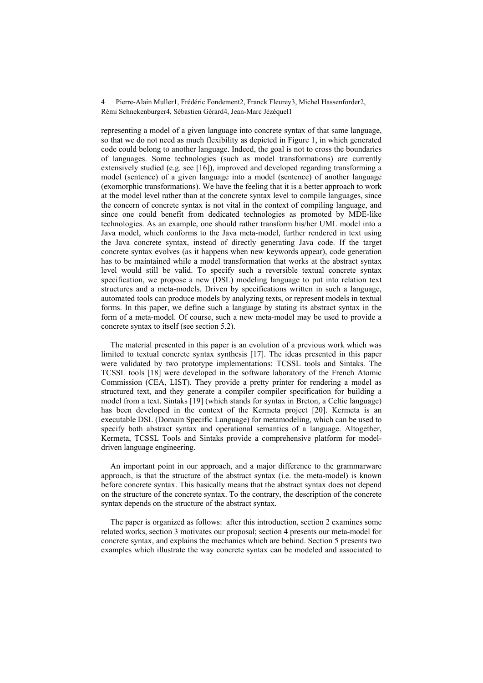representing a model of a given language into concrete syntax of that same language, so that we do not need as much flexibility as depicted in Figure 1, in which generated code could belong to another language. Indeed, the goal is not to cross the boundaries of languages. Some technologies (such as model transformations) are currently extensively studied (e.g. see [16]), improved and developed regarding transforming a model (sentence) of a given language into a model (sentence) of another language (exomorphic transformations). We have the feeling that it is a better approach to work at the model level rather than at the concrete syntax level to compile languages, since the concern of concrete syntax is not vital in the context of compiling language, and since one could benefit from dedicated technologies as promoted by MDE-like technologies. As an example, one should rather transform his/her UML model into a Java model, which conforms to the Java meta-model, further rendered in text using the Java concrete syntax, instead of directly generating Java code. If the target concrete syntax evolves (as it happens when new keywords appear), code generation has to be maintained while a model transformation that works at the abstract syntax level would still be valid. To specify such a reversible textual concrete syntax specification, we propose a new (DSL) modeling language to put into relation text structures and a meta-models. Driven by specifications written in such a language, automated tools can produce models by analyzing texts, or represent models in textual forms. In this paper, we define such a language by stating its abstract syntax in the form of a meta-model. Of course, such a new meta-model may be used to provide a concrete syntax to itself (see section 5.2).

The material presented in this paper is an evolution of a previous work which was limited to textual concrete syntax synthesis [17]. The ideas presented in this paper were validated by two prototype implementations: TCSSL tools and Sintaks. The TCSSL tools [18] were developed in the software laboratory of the French Atomic Commission (CEA, LIST). They provide a pretty printer for rendering a model as structured text, and they generate a compiler compiler specification for building a model from a text. Sintaks [19] (which stands for syntax in Breton, a Celtic language) has been developed in the context of the Kermeta project [20]. Kermeta is an executable DSL (Domain Specific Language) for metamodeling, which can be used to specify both abstract syntax and operational semantics of a language. Altogether, Kermeta, TCSSL Tools and Sintaks provide a comprehensive platform for modeldriven language engineering.

An important point in our approach, and a major difference to the grammarware approach, is that the structure of the abstract syntax (i.e. the meta-model) is known before concrete syntax. This basically means that the abstract syntax does not depend on the structure of the concrete syntax. To the contrary, the description of the concrete syntax depends on the structure of the abstract syntax.

The paper is organized as follows: after this introduction, section 2 examines some related works, section 3 motivates our proposal; section 4 presents our meta-model for concrete syntax, and explains the mechanics which are behind. Section 5 presents two examples which illustrate the way concrete syntax can be modeled and associated to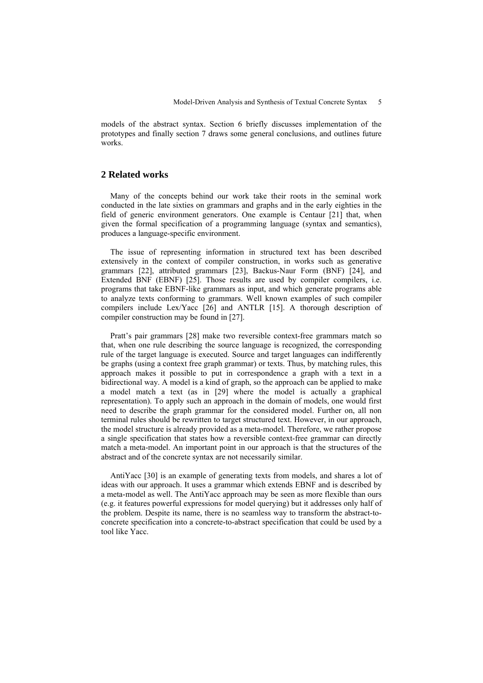models of the abstract syntax. Section 6 briefly discusses implementation of the prototypes and finally section 7 draws some general conclusions, and outlines future works.

# **2 Related works**

Many of the concepts behind our work take their roots in the seminal work conducted in the late sixties on grammars and graphs and in the early eighties in the field of generic environment generators. One example is Centaur [21] that, when given the formal specification of a programming language (syntax and semantics), produces a language-specific environment.

The issue of representing information in structured text has been described extensively in the context of compiler construction, in works such as generative grammars [22], attributed grammars [23], Backus-Naur Form (BNF) [24], and Extended BNF (EBNF) [25]. Those results are used by compiler compilers, i.e. programs that take EBNF-like grammars as input, and which generate programs able to analyze texts conforming to grammars. Well known examples of such compiler compilers include Lex/Yacc [26] and ANTLR [15]. A thorough description of compiler construction may be found in [27].

Pratt's pair grammars [28] make two reversible context-free grammars match so that, when one rule describing the source language is recognized, the corresponding rule of the target language is executed. Source and target languages can indifferently be graphs (using a context free graph grammar) or texts. Thus, by matching rules, this approach makes it possible to put in correspondence a graph with a text in a bidirectional way. A model is a kind of graph, so the approach can be applied to make a model match a text (as in [29] where the model is actually a graphical representation). To apply such an approach in the domain of models, one would first need to describe the graph grammar for the considered model. Further on, all non terminal rules should be rewritten to target structured text. However, in our approach, the model structure is already provided as a meta-model. Therefore, we rather propose a single specification that states how a reversible context-free grammar can directly match a meta-model. An important point in our approach is that the structures of the abstract and of the concrete syntax are not necessarily similar.

AntiYacc [30] is an example of generating texts from models, and shares a lot of ideas with our approach. It uses a grammar which extends EBNF and is described by a meta-model as well. The AntiYacc approach may be seen as more flexible than ours (e.g. it features powerful expressions for model querying) but it addresses only half of the problem. Despite its name, there is no seamless way to transform the abstract-toconcrete specification into a concrete-to-abstract specification that could be used by a tool like Yacc.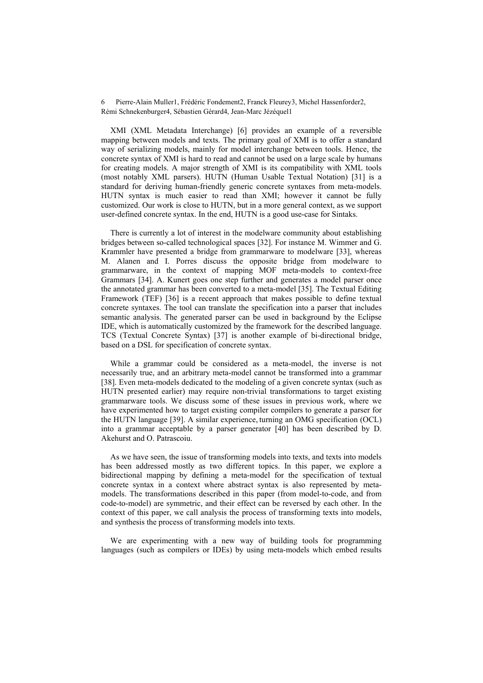XMI (XML Metadata Interchange) [6] provides an example of a reversible mapping between models and texts. The primary goal of XMI is to offer a standard way of serializing models, mainly for model interchange between tools. Hence, the concrete syntax of XMI is hard to read and cannot be used on a large scale by humans for creating models. A major strength of XMI is its compatibility with XML tools (most notably XML parsers). HUTN (Human Usable Textual Notation) [31] is a standard for deriving human-friendly generic concrete syntaxes from meta-models. HUTN syntax is much easier to read than XMI; however it cannot be fully customized. Our work is close to HUTN, but in a more general context, as we support user-defined concrete syntax. In the end, HUTN is a good use-case for Sintaks.

There is currently a lot of interest in the modelware community about establishing bridges between so-called technological spaces [32]. For instance M. Wimmer and G. Krammler have presented a bridge from grammarware to modelware [33], whereas M. Alanen and I. Porres discuss the opposite bridge from modelware to grammarware, in the context of mapping MOF meta-models to context-free Grammars [34]. A. Kunert goes one step further and generates a model parser once the annotated grammar has been converted to a meta-model [35]. The Textual Editing Framework (TEF) [36] is a recent approach that makes possible to define textual concrete syntaxes. The tool can translate the specification into a parser that includes semantic analysis. The generated parser can be used in background by the Eclipse IDE, which is automatically customized by the framework for the described language. TCS (Textual Concrete Syntax) [37] is another example of bi-directional bridge, based on a DSL for specification of concrete syntax.

While a grammar could be considered as a meta-model, the inverse is not necessarily true, and an arbitrary meta-model cannot be transformed into a grammar [38]. Even meta-models dedicated to the modeling of a given concrete syntax (such as HUTN presented earlier) may require non-trivial transformations to target existing grammarware tools. We discuss some of these issues in previous work, where we have experimented how to target existing compiler compilers to generate a parser for the HUTN language [39]. A similar experience, turning an OMG specification (OCL) into a grammar acceptable by a parser generator [40] has been described by D. Akehurst and O. Patrascoiu.

As we have seen, the issue of transforming models into texts, and texts into models has been addressed mostly as two different topics. In this paper, we explore a bidirectional mapping by defining a meta-model for the specification of textual concrete syntax in a context where abstract syntax is also represented by metamodels. The transformations described in this paper (from model-to-code, and from code-to-model) are symmetric, and their effect can be reversed by each other. In the context of this paper, we call analysis the process of transforming texts into models, and synthesis the process of transforming models into texts.

We are experimenting with a new way of building tools for programming languages (such as compilers or IDEs) by using meta-models which embed results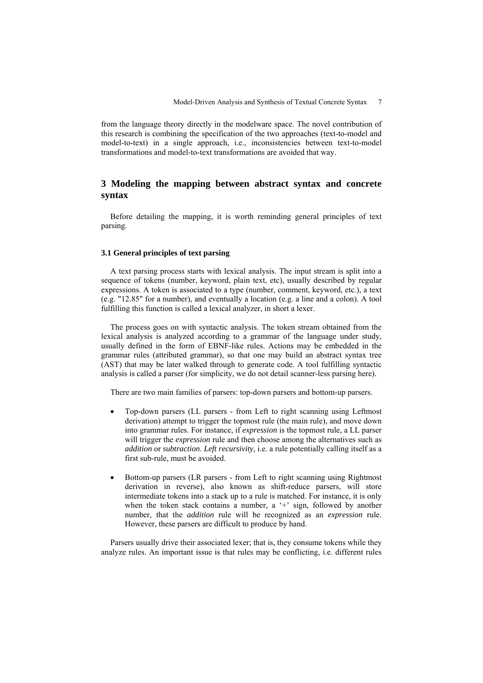from the language theory directly in the modelware space. The novel contribution of this research is combining the specification of the two approaches (text-to-model and model-to-text) in a single approach, i.e., inconsistencies between text-to-model transformations and model-to-text transformations are avoided that way.

# **3 Modeling the mapping between abstract syntax and concrete syntax**

Before detailing the mapping, it is worth reminding general principles of text parsing.

# **3.1 General principles of text parsing**

A text parsing process starts with lexical analysis. The input stream is split into a sequence of tokens (number, keyword, plain text, etc), usually described by regular expressions. A token is associated to a type (number, comment, keyword, etc.), a text (e.g. "12.85" for a number), and eventually a location (e.g. a line and a colon). A tool fulfilling this function is called a lexical analyzer, in short a lexer.

The process goes on with syntactic analysis. The token stream obtained from the lexical analysis is analyzed according to a grammar of the language under study, usually defined in the form of EBNF-like rules. Actions may be embedded in the grammar rules (attributed grammar), so that one may build an abstract syntax tree (AST) that may be later walked through to generate code. A tool fulfilling syntactic analysis is called a parser (for simplicity, we do not detail scanner-less parsing here).

There are two main families of parsers: top-down parsers and bottom-up parsers.

- Top-down parsers (LL parsers from Left to right scanning using Leftmost derivation) attempt to trigger the topmost rule (the main rule), and move down into grammar rules. For instance, if *expression* is the topmost rule, a LL parser will trigger the *expression* rule and then choose among the alternatives such as *addition* or *subtraction*. *Left recursivity*, i.e. a rule potentially calling itself as a first sub-rule, must be avoided.
- Bottom-up parsers (LR parsers from Left to right scanning using Rightmost derivation in reverse), also known as shift-reduce parsers, will store intermediate tokens into a stack up to a rule is matched. For instance, it is only when the token stack contains a number, a '+' sign, followed by another number, that the *addition* rule will be recognized as an *expression* rule. However, these parsers are difficult to produce by hand.

Parsers usually drive their associated lexer; that is, they consume tokens while they analyze rules. An important issue is that rules may be conflicting, i.e. different rules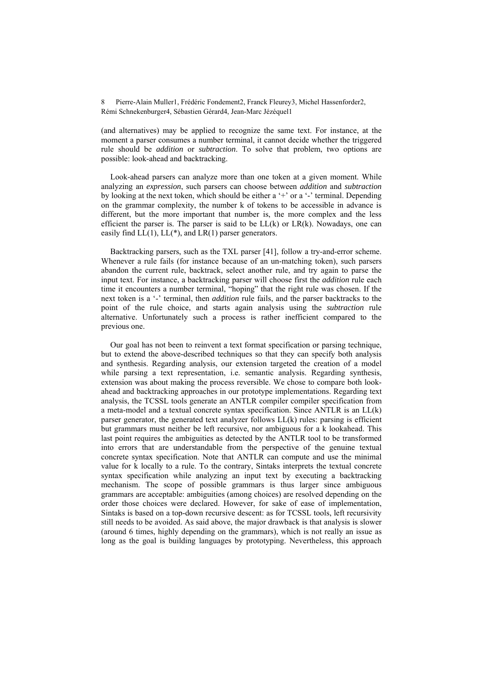(and alternatives) may be applied to recognize the same text. For instance, at the moment a parser consumes a number terminal, it cannot decide whether the triggered rule should be *addition* or *subtraction*. To solve that problem, two options are possible: look-ahead and backtracking.

Look-ahead parsers can analyze more than one token at a given moment. While analyzing an *expression*, such parsers can choose between *addition* and *subtraction* by looking at the next token, which should be either a '+' or a '-' terminal. Depending on the grammar complexity, the number k of tokens to be accessible in advance is different, but the more important that number is, the more complex and the less efficient the parser is. The parser is said to be  $LL(k)$  or  $LR(k)$ . Nowadays, one can easily find  $LL(1)$ ,  $LL(*)$ , and  $LR(1)$  parser generators.

Backtracking parsers, such as the TXL parser [41], follow a try-and-error scheme. Whenever a rule fails (for instance because of an un-matching token), such parsers abandon the current rule, backtrack, select another rule, and try again to parse the input text. For instance, a backtracking parser will choose first the *addition* rule each time it encounters a number terminal, "hoping" that the right rule was chosen. If the next token is a '-' terminal, then *addition* rule fails, and the parser backtracks to the point of the rule choice, and starts again analysis using the *subtraction* rule alternative. Unfortunately such a process is rather inefficient compared to the previous one.

Our goal has not been to reinvent a text format specification or parsing technique, but to extend the above-described techniques so that they can specify both analysis and synthesis. Regarding analysis, our extension targeted the creation of a model while parsing a text representation, i.e. semantic analysis. Regarding synthesis, extension was about making the process reversible. We chose to compare both lookahead and backtracking approaches in our prototype implementations. Regarding text analysis, the TCSSL tools generate an ANTLR compiler compiler specification from a meta-model and a textual concrete syntax specification. Since ANTLR is an LL(k) parser generator, the generated text analyzer follows LL(k) rules: parsing is efficient but grammars must neither be left recursive, nor ambiguous for a k lookahead. This last point requires the ambiguities as detected by the ANTLR tool to be transformed into errors that are understandable from the perspective of the genuine textual concrete syntax specification. Note that ANTLR can compute and use the minimal value for k locally to a rule. To the contrary, Sintaks interprets the textual concrete syntax specification while analyzing an input text by executing a backtracking mechanism. The scope of possible grammars is thus larger since ambiguous grammars are acceptable: ambiguities (among choices) are resolved depending on the order those choices were declared. However, for sake of ease of implementation, Sintaks is based on a top-down recursive descent: as for TCSSL tools, left recursivity still needs to be avoided. As said above, the major drawback is that analysis is slower (around 6 times, highly depending on the grammars), which is not really an issue as long as the goal is building languages by prototyping. Nevertheless, this approach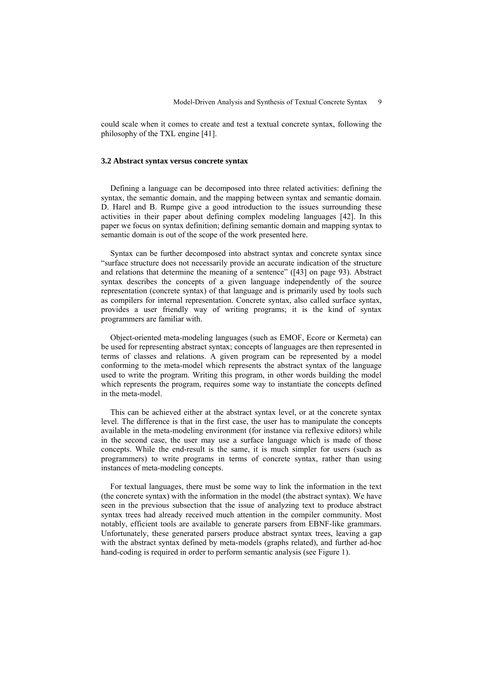could scale when it comes to create and test a textual concrete syntax, following the philosophy of the TXL engine [41].

#### **3.2 Abstract syntax versus concrete syntax**

Defining a language can be decomposed into three related activities: defining the syntax, the semantic domain, and the mapping between syntax and semantic domain. D. Harel and B. Rumpe give a good introduction to the issues surrounding these activities in their paper about defining complex modeling languages [42]. In this paper we focus on syntax definition; defining semantic domain and mapping syntax to semantic domain is out of the scope of the work presented here.

Syntax can be further decomposed into abstract syntax and concrete syntax since "surface structure does not necessarily provide an accurate indication of the structure and relations that determine the meaning of a sentence" ([43] on page 93). Abstract syntax describes the concepts of a given language independently of the source representation (concrete syntax) of that language and is primarily used by tools such as compilers for internal representation. Concrete syntax, also called surface syntax, provides a user friendly way of writing programs; it is the kind of syntax programmers are familiar with.

Object-oriented meta-modeling languages (such as EMOF, Ecore or Kermeta) can be used for representing abstract syntax; concepts of languages are then represented in terms of classes and relations. A given program can be represented by a model conforming to the meta-model which represents the abstract syntax of the language used to write the program. Writing this program, in other words building the model which represents the program, requires some way to instantiate the concepts defined in the meta-model.

This can be achieved either at the abstract syntax level, or at the concrete syntax level. The difference is that in the first case, the user has to manipulate the concepts available in the meta-modeling environment (for instance via reflexive editors) while in the second case, the user may use a surface language which is made of those concepts. While the end-result is the same, it is much simpler for users (such as programmers) to write programs in terms of concrete syntax, rather than using instances of meta-modeling concepts.

For textual languages, there must be some way to link the information in the text (the concrete syntax) with the information in the model (the abstract syntax). We have seen in the previous subsection that the issue of analyzing text to produce abstract syntax trees had already received much attention in the compiler community. Most notably, efficient tools are available to generate parsers from EBNF-like grammars. Unfortunately, these generated parsers produce abstract syntax trees, leaving a gap with the abstract syntax defined by meta-models (graphs related), and further ad-hoc hand-coding is required in order to perform semantic analysis (see Figure 1).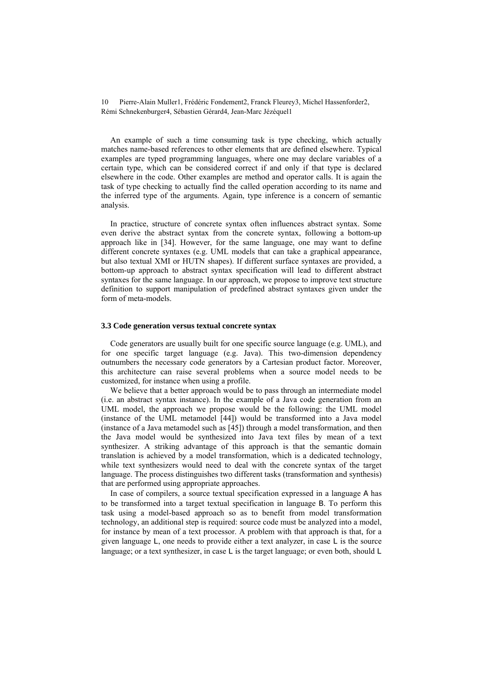An example of such a time consuming task is type checking, which actually matches name-based references to other elements that are defined elsewhere. Typical examples are typed programming languages, where one may declare variables of a certain type, which can be considered correct if and only if that type is declared elsewhere in the code. Other examples are method and operator calls. It is again the task of type checking to actually find the called operation according to its name and the inferred type of the arguments. Again, type inference is a concern of semantic analysis.

In practice, structure of concrete syntax often influences abstract syntax. Some even derive the abstract syntax from the concrete syntax, following a bottom-up approach like in [34]. However, for the same language, one may want to define different concrete syntaxes (e.g. UML models that can take a graphical appearance, but also textual XMI or HUTN shapes). If different surface syntaxes are provided, a bottom-up approach to abstract syntax specification will lead to different abstract syntaxes for the same language. In our approach, we propose to improve text structure definition to support manipulation of predefined abstract syntaxes given under the form of meta-models.

#### **3.3 Code generation versus textual concrete syntax**

Code generators are usually built for one specific source language (e.g. UML), and for one specific target language (e.g. Java). This two-dimension dependency outnumbers the necessary code generators by a Cartesian product factor. Moreover, this architecture can raise several problems when a source model needs to be customized, for instance when using a profile.

We believe that a better approach would be to pass through an intermediate model (i.e. an abstract syntax instance). In the example of a Java code generation from an UML model, the approach we propose would be the following: the UML model (instance of the UML metamodel [44]) would be transformed into a Java model (instance of a Java metamodel such as [45]) through a model transformation, and then the Java model would be synthesized into Java text files by mean of a text synthesizer. A striking advantage of this approach is that the semantic domain translation is achieved by a model transformation, which is a dedicated technology, while text synthesizers would need to deal with the concrete syntax of the target language. The process distinguishes two different tasks (transformation and synthesis) that are performed using appropriate approaches.

In case of compilers, a source textual specification expressed in a language A has to be transformed into a target textual specification in language B. To perform this task using a model-based approach so as to benefit from model transformation technology, an additional step is required: source code must be analyzed into a model, for instance by mean of a text processor. A problem with that approach is that, for a given language  $L$ , one needs to provide either a text analyzer, in case  $L$  is the source language; or a text synthesizer, in case  $\mathbb L$  is the target language; or even both, should  $\mathbb L$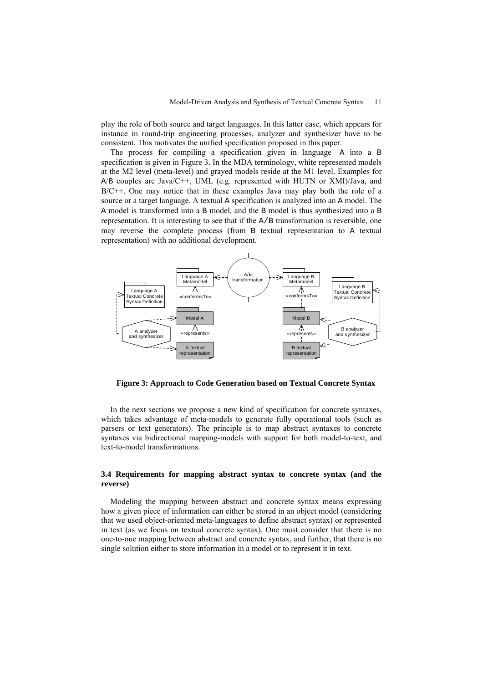play the role of both source and target languages. In this latter case, which appears for instance in round-trip engineering processes, analyzer and synthesizer have to be consistent. This motivates the unified specification proposed in this paper.

The process for compiling a specification given in language A into a B specification is given in Figure 3. In the MDA terminology, white represented models at the M2 level (meta-level) and grayed models reside at the M1 level. Examples for A/B couples are Java/C++, UML (e.g. represented with HUTN or XMI)/Java, and B/C++. One may notice that in these examples Java may play both the role of a source or a target language. A textual A specification is analyzed into an A model. The A model is transformed into a B model, and the B model is thus synthesized into a B representation. It is interesting to see that if the  $A/B$  transformation is reversible, one may reverse the complete process (from B textual representation to A textual representation) with no additional development.



**Figure 3: Approach to Code Generation based on Textual Concrete Syntax** 

In the next sections we propose a new kind of specification for concrete syntaxes, which takes advantage of meta-models to generate fully operational tools (such as parsers or text generators). The principle is to map abstract syntaxes to concrete syntaxes via bidirectional mapping-models with support for both model-to-text, and text-to-model transformations.

# **3.4 Requirements for mapping abstract syntax to concrete syntax (and the reverse)**

Modeling the mapping between abstract and concrete syntax means expressing how a given piece of information can either be stored in an object model (considering that we used object-oriented meta-languages to define abstract syntax) or represented in text (as we focus on textual concrete syntax). One must consider that there is no one-to-one mapping between abstract and concrete syntax, and further, that there is no single solution either to store information in a model or to represent it in text.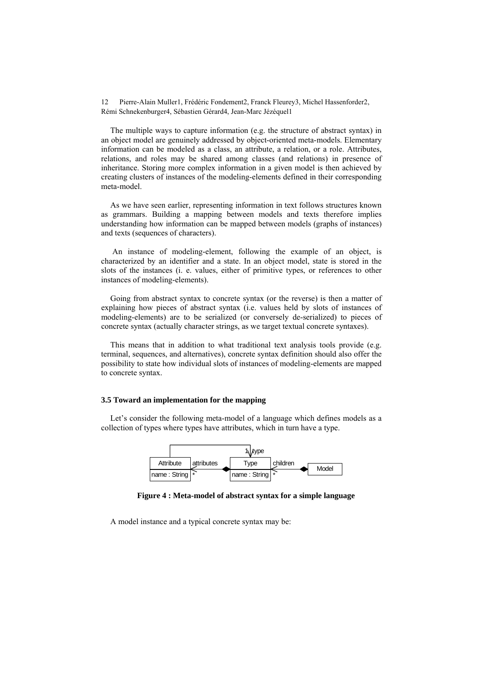The multiple ways to capture information (e.g. the structure of abstract syntax) in an object model are genuinely addressed by object-oriented meta-models. Elementary information can be modeled as a class, an attribute, a relation, or a role. Attributes, relations, and roles may be shared among classes (and relations) in presence of inheritance. Storing more complex information in a given model is then achieved by creating clusters of instances of the modeling-elements defined in their corresponding meta-model.

As we have seen earlier, representing information in text follows structures known as grammars. Building a mapping between models and texts therefore implies understanding how information can be mapped between models (graphs of instances) and texts (sequences of characters).

 An instance of modeling-element, following the example of an object, is characterized by an identifier and a state. In an object model, state is stored in the slots of the instances (i. e. values, either of primitive types, or references to other instances of modeling-elements).

Going from abstract syntax to concrete syntax (or the reverse) is then a matter of explaining how pieces of abstract syntax (i.e. values held by slots of instances of modeling-elements) are to be serialized (or conversely de-serialized) to pieces of concrete syntax (actually character strings, as we target textual concrete syntaxes).

This means that in addition to what traditional text analysis tools provide (e.g. terminal, sequences, and alternatives), concrete syntax definition should also offer the possibility to state how individual slots of instances of modeling-elements are mapped to concrete syntax.

#### **3.5 Toward an implementation for the mapping**

Let's consider the following meta-model of a language which defines models as a collection of types where types have attributes, which in turn have a type.



**Figure 4 : Meta-model of abstract syntax for a simple language** 

A model instance and a typical concrete syntax may be: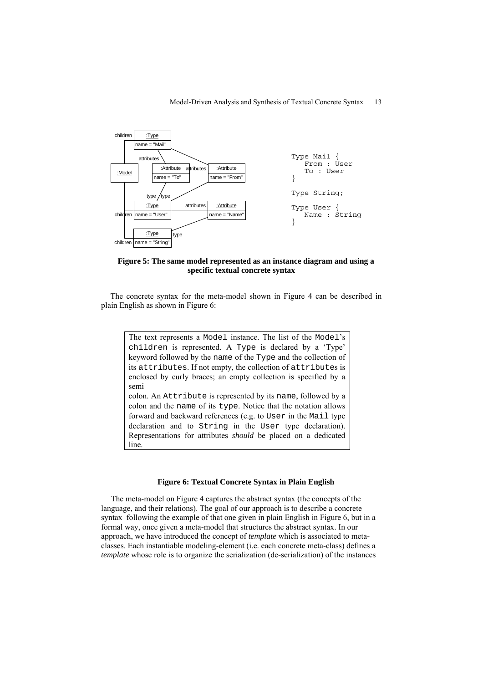#### Model-Driven Analysis and Synthesis of Textual Concrete Syntax 13



**Figure 5: The same model represented as an instance diagram and using a specific textual concrete syntax** 

The concrete syntax for the meta-model shown in Figure 4 can be described in plain English as shown in Figure 6:

The text represents a Model instance. The list of the Model's children is represented. A Type is declared by a 'Type' keyword followed by the name of the Type and the collection of its attributes. If not empty, the collection of attributes is enclosed by curly braces; an empty collection is specified by a semi colon. An Attribute is represented by its name, followed by a colon and the name of its type. Notice that the notation allows forward and backward references (e.g. to User in the Mail type

declaration and to String in the User type declaration). Representations for attributes *should* be placed on a dedicated line.

#### **Figure 6: Textual Concrete Syntax in Plain English**

The meta-model on Figure 4 captures the abstract syntax (the concepts of the language, and their relations). The goal of our approach is to describe a concrete syntax following the example of that one given in plain English in Figure 6, but in a formal way, once given a meta-model that structures the abstract syntax. In our approach, we have introduced the concept of *template* which is associated to metaclasses. Each instantiable modeling-element (i.e. each concrete meta-class) defines a *template* whose role is to organize the serialization (de-serialization) of the instances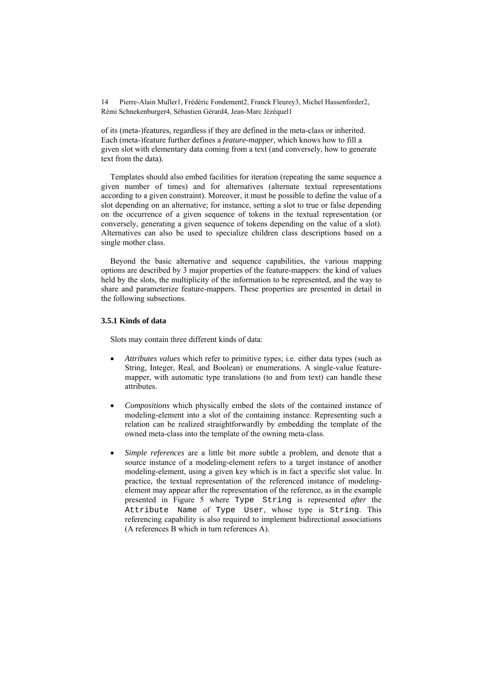of its (meta-)features, regardless if they are defined in the meta-class or inherited. Each (meta-)feature further defines a *feature-mapper*, which knows how to fill a given slot with elementary data coming from a text (and conversely, how to generate text from the data).

Templates should also embed facilities for iteration (repeating the same sequence a given number of times) and for alternatives (alternate textual representations according to a given constraint). Moreover, it must be possible to define the value of a slot depending on an alternative; for instance, setting a slot to true or false depending on the occurrence of a given sequence of tokens in the textual representation (or conversely, generating a given sequence of tokens depending on the value of a slot). Alternatives can also be used to specialize children class descriptions based on a single mother class.

Beyond the basic alternative and sequence capabilities, the various mapping options are described by 3 major properties of the feature-mappers: the kind of values held by the slots, the multiplicity of the information to be represented, and the way to share and parameterize feature-mappers. These properties are presented in detail in the following subsections.

## **3.5.1 Kinds of data**

Slots may contain three different kinds of data:

- *Attributes values* which refer to primitive types; i.e. either data types (such as String, Integer, Real, and Boolean) or enumerations. A single-value featuremapper, with automatic type translations (to and from text) can handle these attributes.
- *Compositions* which physically embed the slots of the contained instance of modeling-element into a slot of the containing instance. Representing such a relation can be realized straightforwardly by embedding the template of the owned meta-class into the template of the owning meta-class.
- *Simple references* are a little bit more subtle a problem, and denote that a source instance of a modeling-element refers to a target instance of another modeling-element, using a given key which is in fact a specific slot value. In practice, the textual representation of the referenced instance of modelingelement may appear after the representation of the reference, as in the example presented in Figure 5 where Type String is represented *after* the Attribute Name of Type User, whose type is String. This referencing capability is also required to implement bidirectional associations (A references B which in turn references A).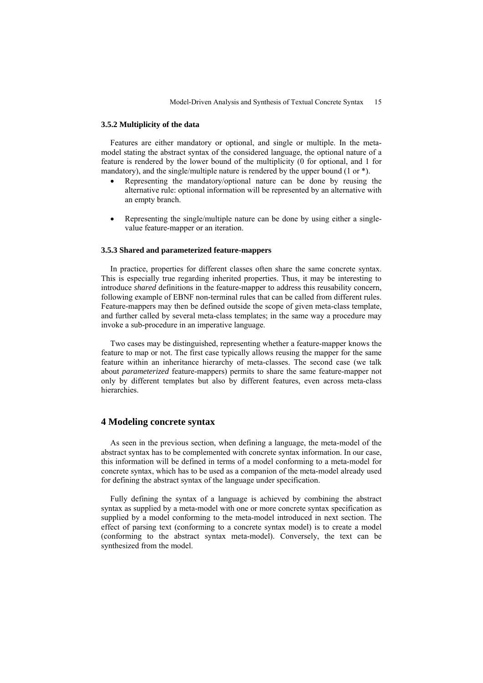### **3.5.2 Multiplicity of the data**

Features are either mandatory or optional, and single or multiple. In the metamodel stating the abstract syntax of the considered language, the optional nature of a feature is rendered by the lower bound of the multiplicity (0 for optional, and 1 for mandatory), and the single/multiple nature is rendered by the upper bound (1 or  $*$ ).

- Representing the mandatory/optional nature can be done by reusing the alternative rule: optional information will be represented by an alternative with an empty branch.
- Representing the single/multiple nature can be done by using either a singlevalue feature-mapper or an iteration.

#### **3.5.3 Shared and parameterized feature-mappers**

In practice, properties for different classes often share the same concrete syntax. This is especially true regarding inherited properties. Thus, it may be interesting to introduce *shared* definitions in the feature-mapper to address this reusability concern, following example of EBNF non-terminal rules that can be called from different rules. Feature-mappers may then be defined outside the scope of given meta-class template, and further called by several meta-class templates; in the same way a procedure may invoke a sub-procedure in an imperative language.

Two cases may be distinguished, representing whether a feature-mapper knows the feature to map or not. The first case typically allows reusing the mapper for the same feature within an inheritance hierarchy of meta-classes. The second case (we talk about *parameterized* feature-mappers) permits to share the same feature-mapper not only by different templates but also by different features, even across meta-class hierarchies.

# **4 Modeling concrete syntax**

As seen in the previous section, when defining a language, the meta-model of the abstract syntax has to be complemented with concrete syntax information. In our case, this information will be defined in terms of a model conforming to a meta-model for concrete syntax, which has to be used as a companion of the meta-model already used for defining the abstract syntax of the language under specification.

Fully defining the syntax of a language is achieved by combining the abstract syntax as supplied by a meta-model with one or more concrete syntax specification as supplied by a model conforming to the meta-model introduced in next section. The effect of parsing text (conforming to a concrete syntax model) is to create a model (conforming to the abstract syntax meta-model). Conversely, the text can be synthesized from the model.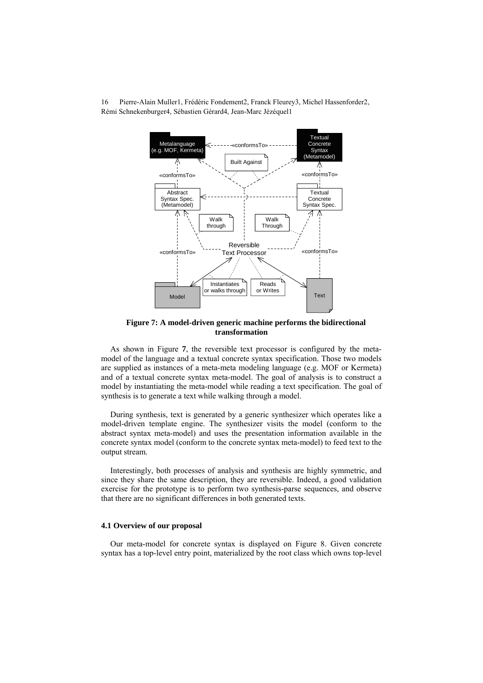

**Figure 7: A model-driven generic machine performs the bidirectional transformation** 

As shown in Figure **7**, the reversible text processor is configured by the metamodel of the language and a textual concrete syntax specification. Those two models are supplied as instances of a meta-meta modeling language (e.g. MOF or Kermeta) and of a textual concrete syntax meta-model. The goal of analysis is to construct a model by instantiating the meta-model while reading a text specification. The goal of synthesis is to generate a text while walking through a model.

During synthesis, text is generated by a generic synthesizer which operates like a model-driven template engine. The synthesizer visits the model (conform to the abstract syntax meta-model) and uses the presentation information available in the concrete syntax model (conform to the concrete syntax meta-model) to feed text to the output stream.

Interestingly, both processes of analysis and synthesis are highly symmetric, and since they share the same description, they are reversible. Indeed, a good validation exercise for the prototype is to perform two synthesis-parse sequences, and observe that there are no significant differences in both generated texts.

#### **4.1 Overview of our proposal**

Our meta-model for concrete syntax is displayed on Figure 8. Given concrete syntax has a top-level entry point, materialized by the root class which owns top-level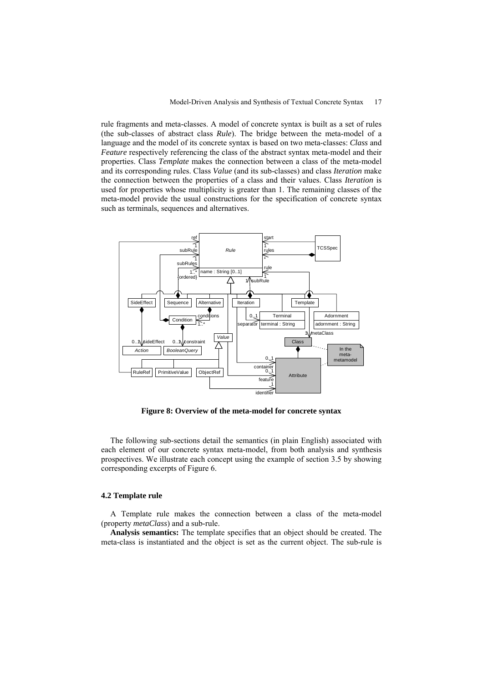rule fragments and meta-classes. A model of concrete syntax is built as a set of rules (the sub-classes of abstract class *Rule*). The bridge between the meta-model of a language and the model of its concrete syntax is based on two meta-classes: *Class* and *Feature* respectively referencing the class of the abstract syntax meta-model and their properties. Class *Template* makes the connection between a class of the meta-model and its corresponding rules. Class *Value* (and its sub-classes) and class *Iteration* make the connection between the properties of a class and their values. Class *Iteration* is used for properties whose multiplicity is greater than 1. The remaining classes of the meta-model provide the usual constructions for the specification of concrete syntax such as terminals, sequences and alternatives.



**Figure 8: Overview of the meta-model for concrete syntax** 

The following sub-sections detail the semantics (in plain English) associated with each element of our concrete syntax meta-model, from both analysis and synthesis prospectives. We illustrate each concept using the example of section 3.5 by showing corresponding excerpts of Figure 6.

#### **4.2 Template rule**

A Template rule makes the connection between a class of the meta-model (property *metaClass*) and a sub-rule.

**Analysis semantics:** The template specifies that an object should be created. The meta-class is instantiated and the object is set as the current object. The sub-rule is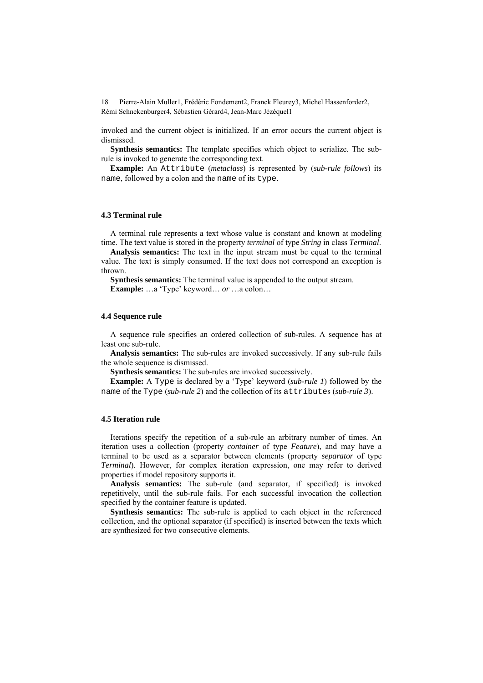invoked and the current object is initialized. If an error occurs the current object is dismissed.

**Synthesis semantics:** The template specifies which object to serialize. The subrule is invoked to generate the corresponding text.

**Example:** An Attribute (*metaclass*) is represented by (*sub-rule follows*) its name, followed by a colon and the name of its type.

## **4.3 Terminal rule**

A terminal rule represents a text whose value is constant and known at modeling time. The text value is stored in the property *terminal* of type *String* in class *Terminal*.

**Analysis semantics:** The text in the input stream must be equal to the terminal value. The text is simply consumed. If the text does not correspond an exception is thrown.

**Synthesis semantics:** The terminal value is appended to the output stream.

**Example:** …a 'Type' keyword… *or* …a colon…

# **4.4 Sequence rule**

A sequence rule specifies an ordered collection of sub-rules. A sequence has at least one sub-rule.

**Analysis semantics:** The sub-rules are invoked successively. If any sub-rule fails the whole sequence is dismissed.

**Synthesis semantics:** The sub-rules are invoked successively.

**Example:** A Type is declared by a 'Type' keyword (*sub-rule 1*) followed by the name of the Type (*sub-rule 2*) and the collection of its attributes (*sub-rule 3*).

## **4.5 Iteration rule**

Iterations specify the repetition of a sub-rule an arbitrary number of times. An iteration uses a collection (property *container* of type *Feature*), and may have a terminal to be used as a separator between elements (property *separator* of type *Terminal*). However, for complex iteration expression, one may refer to derived properties if model repository supports it.

**Analysis semantics:** The sub-rule (and separator, if specified) is invoked repetitively, until the sub-rule fails. For each successful invocation the collection specified by the container feature is updated.

**Synthesis semantics:** The sub-rule is applied to each object in the referenced collection, and the optional separator (if specified) is inserted between the texts which are synthesized for two consecutive elements.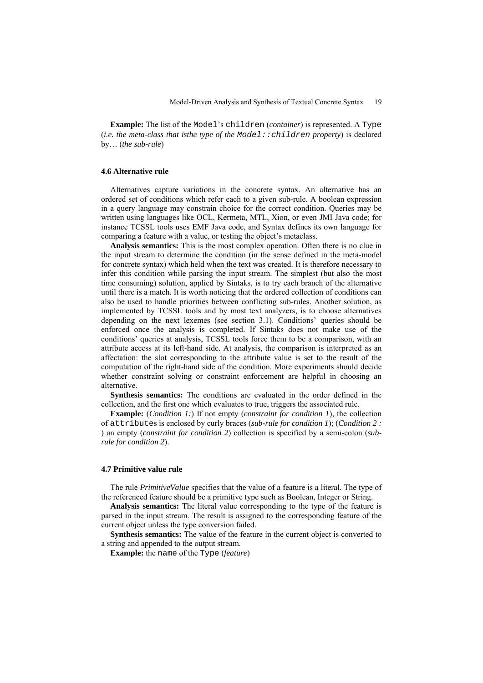**Example:** The list of the Model's children (*container*) is represented. A Type (*i.e. the meta-class that isthe type of the Model::children property*) is declared by… (*the sub-rule*)

#### **4.6 Alternative rule**

Alternatives capture variations in the concrete syntax. An alternative has an ordered set of conditions which refer each to a given sub-rule. A boolean expression in a query language may constrain choice for the correct condition. Queries may be written using languages like OCL, Kermeta, MTL, Xion, or even JMI Java code; for instance TCSSL tools uses EMF Java code, and Syntax defines its own language for comparing a feature with a value, or testing the object's metaclass.

**Analysis semantics:** This is the most complex operation. Often there is no clue in the input stream to determine the condition (in the sense defined in the meta-model for concrete syntax) which held when the text was created. It is therefore necessary to infer this condition while parsing the input stream. The simplest (but also the most time consuming) solution, applied by Sintaks, is to try each branch of the alternative until there is a match. It is worth noticing that the ordered collection of conditions can also be used to handle priorities between conflicting sub-rules. Another solution, as implemented by TCSSL tools and by most text analyzers, is to choose alternatives depending on the next lexemes (see section 3.1). Conditions' queries should be enforced once the analysis is completed. If Sintaks does not make use of the conditions' queries at analysis, TCSSL tools force them to be a comparison, with an attribute access at its left-hand side. At analysis, the comparison is interpreted as an affectation: the slot corresponding to the attribute value is set to the result of the computation of the right-hand side of the condition. More experiments should decide whether constraint solving or constraint enforcement are helpful in choosing an alternative.

**Synthesis semantics:** The conditions are evaluated in the order defined in the collection, and the first one which evaluates to true, triggers the associated rule.

**Example:** (*Condition 1:*) If not empty (*constraint for condition 1*), the collection of attributes is enclosed by curly braces (*sub-rule for condition 1*); (*Condition 2 :* ) an empty (*constraint for condition 2*) collection is specified by a semi-colon (*subrule for condition 2*).

# **4.7 Primitive value rule**

The rule *PrimitiveValue* specifies that the value of a feature is a literal. The type of the referenced feature should be a primitive type such as Boolean, Integer or String.

**Analysis semantics:** The literal value corresponding to the type of the feature is parsed in the input stream. The result is assigned to the corresponding feature of the current object unless the type conversion failed.

**Synthesis semantics:** The value of the feature in the current object is converted to a string and appended to the output stream.

**Example:** the name of the Type (*feature*)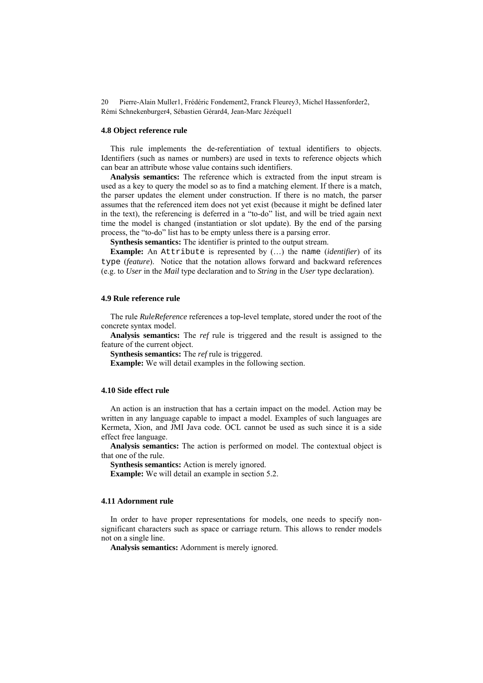# **4.8 Object reference rule**

This rule implements the de-referentiation of textual identifiers to objects. Identifiers (such as names or numbers) are used in texts to reference objects which can bear an attribute whose value contains such identifiers.

**Analysis semantics:** The reference which is extracted from the input stream is used as a key to query the model so as to find a matching element. If there is a match, the parser updates the element under construction. If there is no match, the parser assumes that the referenced item does not yet exist (because it might be defined later in the text), the referencing is deferred in a "to-do" list, and will be tried again next time the model is changed (instantiation or slot update). By the end of the parsing process, the "to-do" list has to be empty unless there is a parsing error.

**Synthesis semantics:** The identifier is printed to the output stream.

**Example:** An Attribute is represented by (…) the name (*identifier*) of its type (*feature*). Notice that the notation allows forward and backward references (e.g. to *User* in the *Mail* type declaration and to *String* in the *User* type declaration).

# **4.9 Rule reference rule**

The rule *RuleReference* references a top-level template, stored under the root of the concrete syntax model.

**Analysis semantics:** The *ref* rule is triggered and the result is assigned to the feature of the current object.

**Synthesis semantics:** The *ref* rule is triggered.

**Example:** We will detail examples in the following section.

# **4.10 Side effect rule**

An action is an instruction that has a certain impact on the model. Action may be written in any language capable to impact a model. Examples of such languages are Kermeta, Xion, and JMI Java code. OCL cannot be used as such since it is a side effect free language.

**Analysis semantics:** The action is performed on model. The contextual object is that one of the rule.

**Synthesis semantics:** Action is merely ignored.

**Example:** We will detail an example in section 5.2.

## **4.11 Adornment rule**

In order to have proper representations for models, one needs to specify nonsignificant characters such as space or carriage return. This allows to render models not on a single line.

**Analysis semantics:** Adornment is merely ignored.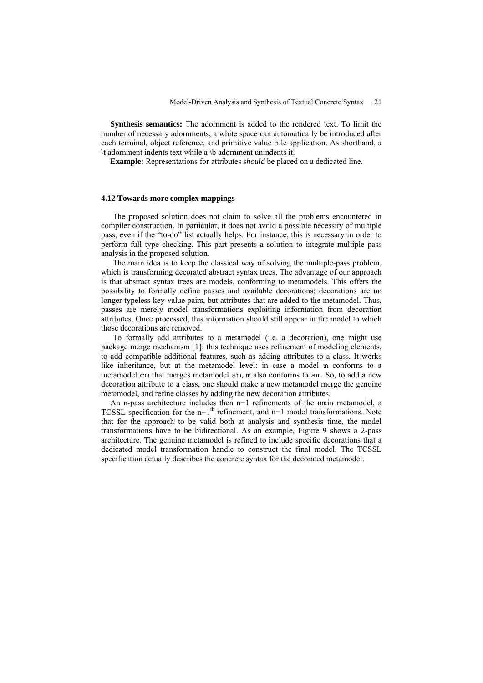**Synthesis semantics:** The adornment is added to the rendered text. To limit the number of necessary adornments, a white space can automatically be introduced after each terminal, object reference, and primitive value rule application. As shorthand, a \t adornment indents text while a \b adornment unindents it.

**Example:** Representations for attributes *should* be placed on a dedicated line.

#### **4.12 Towards more complex mappings**

The proposed solution does not claim to solve all the problems encountered in compiler construction. In particular, it does not avoid a possible necessity of multiple pass, even if the "to-do" list actually helps. For instance, this is necessary in order to perform full type checking. This part presents a solution to integrate multiple pass analysis in the proposed solution.

The main idea is to keep the classical way of solving the multiple-pass problem, which is transforming decorated abstract syntax trees. The advantage of our approach is that abstract syntax trees are models, conforming to metamodels. This offers the possibility to formally define passes and available decorations: decorations are no longer typeless key-value pairs, but attributes that are added to the metamodel. Thus, passes are merely model transformations exploiting information from decoration attributes. Once processed, this information should still appear in the model to which those decorations are removed.

To formally add attributes to a metamodel (i.e. a decoration), one might use package merge mechanism [1]: this technique uses refinement of modeling elements, to add compatible additional features, such as adding attributes to a class. It works like inheritance, but at the metamodel level: in case a model m conforms to a metamodel cm that merges metamodel am, m also conforms to am. So, to add a new decoration attribute to a class, one should make a new metamodel merge the genuine metamodel, and refine classes by adding the new decoration attributes.

An n-pass architecture includes then n−1 refinements of the main metamodel, a TCSSL specification for the n−1<sup>th</sup> refinement, and n−1 model transformations. Note that for the approach to be valid both at analysis and synthesis time, the model transformations have to be bidirectional. As an example, Figure 9 shows a 2-pass architecture. The genuine metamodel is refined to include specific decorations that a dedicated model transformation handle to construct the final model. The TCSSL specification actually describes the concrete syntax for the decorated metamodel.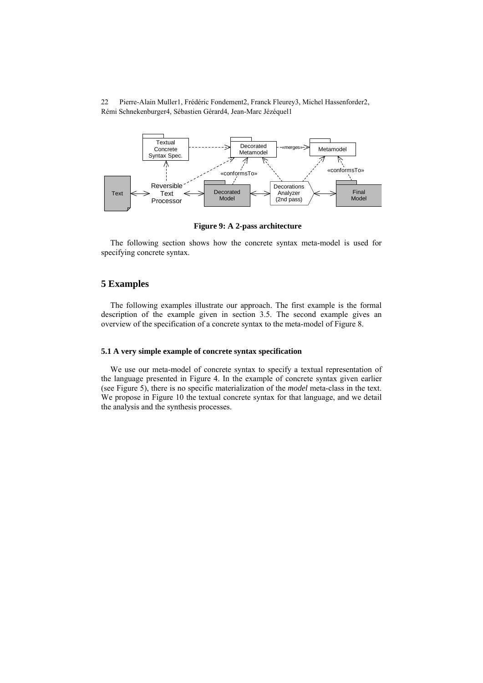

**Figure 9: A 2-pass architecture** 

The following section shows how the concrete syntax meta-model is used for specifying concrete syntax.

# **5 Examples**

The following examples illustrate our approach. The first example is the formal description of the example given in section 3.5. The second example gives an overview of the specification of a concrete syntax to the meta-model of Figure 8.

# **5.1 A very simple example of concrete syntax specification**

We use our meta-model of concrete syntax to specify a textual representation of the language presented in Figure 4. In the example of concrete syntax given earlier (see Figure 5), there is no specific materialization of the *model* meta-class in the text. We propose in Figure 10 the textual concrete syntax for that language, and we detail the analysis and the synthesis processes.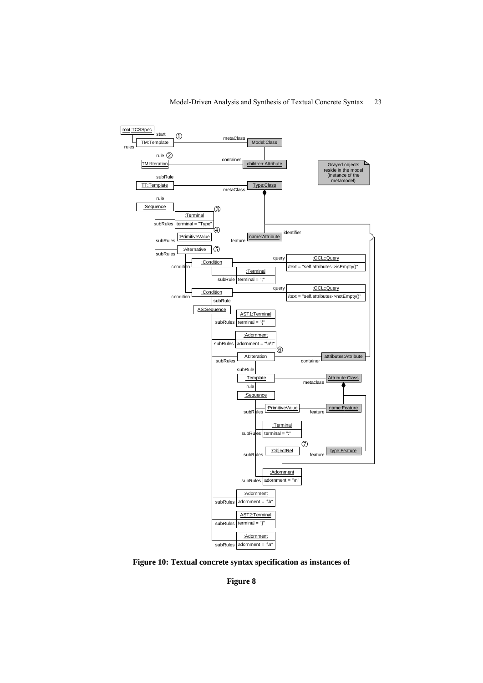

# Model-Driven Analysis and Synthesis of Textual Concrete Syntax 23

**Figure 10: Textual concrete syntax specification as instances of** 

**Figure 8**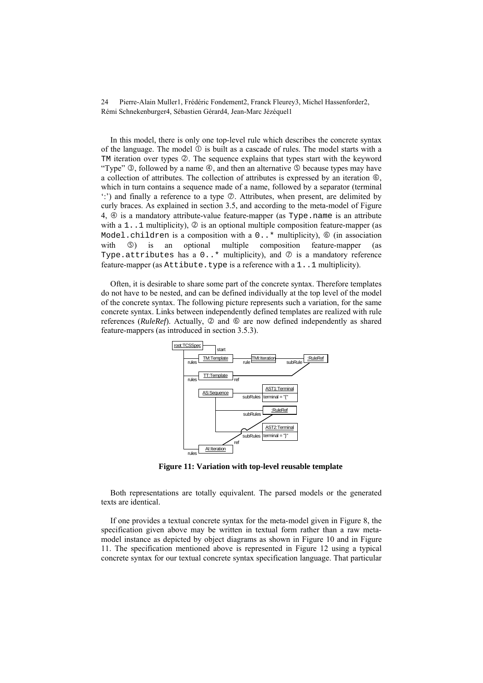In this model, there is only one top-level rule which describes the concrete syntax of the language. The model  $\Phi$  is built as a cascade of rules. The model starts with a TM iteration over types  $\oslash$ . The sequence explains that types start with the keyword "Type"  $\circledcirc$ , followed by a name  $\circledcirc$ , and then an alternative  $\circledcirc$  because types may have a collection of attributes. The collection of attributes is expressed by an iteration  $\circledcirc$ , which in turn contains a sequence made of a name, followed by a separator (terminal  $\therefore$ ) and finally a reference to a type  $\oslash$ . Attributes, when present, are delimited by curly braces. As explained in section 3.5, and according to the meta-model of Figure 4,  $\Phi$  is a mandatory attribute-value feature-mapper (as Type.name is an attribute with a  $1 \dots 1$  multiplicity),  $\oslash$  is an optional multiple composition feature-mapper (as Model.children is a composition with a  $0 \ldots$  multiplicity),  $\circledcirc$  (in association with  $\circled{)}$  is an optional multiple composition feature-mapper (as Type.attributes has a 0..\* multiplicity), and  $\oslash$  is a mandatory reference feature-mapper (as Attibute.type is a reference with a 1..1 multiplicity).

Often, it is desirable to share some part of the concrete syntax. Therefore templates do not have to be nested, and can be defined individually at the top level of the model of the concrete syntax. The following picture represents such a variation, for the same concrete syntax. Links between independently defined templates are realized with rule references ( $RuleRef$ ). Actually,  $\oslash$  and  $\oslash$  are now defined independently as shared feature-mappers (as introduced in section 3.5.3).



**Figure 11: Variation with top-level reusable template** 

Both representations are totally equivalent. The parsed models or the generated texts are identical.

If one provides a textual concrete syntax for the meta-model given in Figure 8, the specification given above may be written in textual form rather than a raw metamodel instance as depicted by object diagrams as shown in Figure 10 and in Figure 11. The specification mentioned above is represented in Figure 12 using a typical concrete syntax for our textual concrete syntax specification language. That particular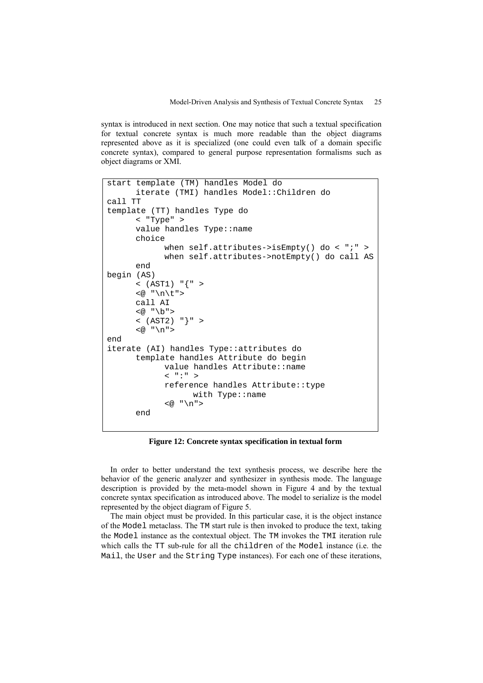syntax is introduced in next section. One may notice that such a textual specification for textual concrete syntax is much more readable than the object diagrams represented above as it is specialized (one could even talk of a domain specific concrete syntax), compared to general purpose representation formalisms such as object diagrams or XMI.

```
start template (TM) handles Model do 
        iterate (TMI) handles Model::Children do 
call TT 
template (TT) handles Type do 
       < "Type" > 
       value handles Type::name 
       choice 
             when self.attributes->isEmpty() do < ";" >
              when self.attributes->notEmpty() do call AS 
       end 
begin (AS) 
       < (AST1) "{" > 
       <@ "\n\t"> 
       call AI 
      <\otimes "\b)">
      \langle (AST2) "}" >
       <@ "\n"> 
end 
iterate (AI) handles Type::attributes do 
       template handles Attribute do begin 
              value handles Attribute::name 
             \lt ":" >
              reference handles Attribute::type
                     with Type::name 
             \langle \text{@} "\setminusn">
       end
```
**Figure 12: Concrete syntax specification in textual form** 

In order to better understand the text synthesis process, we describe here the behavior of the generic analyzer and synthesizer in synthesis mode. The language description is provided by the meta-model shown in Figure 4 and by the textual concrete syntax specification as introduced above. The model to serialize is the model represented by the object diagram of Figure 5.

The main object must be provided. In this particular case, it is the object instance of the Model metaclass. The TM start rule is then invoked to produce the text, taking the Model instance as the contextual object. The TM invokes the TMI iteration rule which calls the TT sub-rule for all the children of the Model instance (i.e. the Mail, the User and the String Type instances). For each one of these iterations,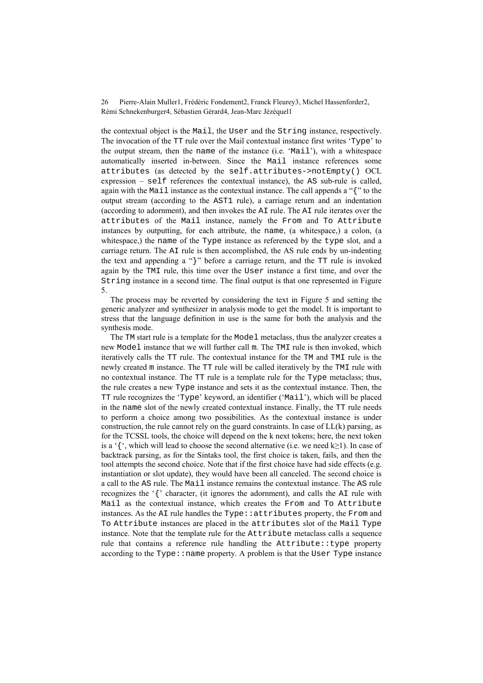the contextual object is the Mail, the User and the String instance, respectively. The invocation of the TT rule over the Mail contextual instance first writes 'Type' to the output stream, then the name of the instance (i.e. 'Mail'), with a whitespace automatically inserted in-between. Since the Mail instance references some attributes (as detected by the self.attributes->notEmpty() OCL expression – self references the contextual instance), the AS sub-rule is called, again with the Mail instance as the contextual instance. The call appends a "{" to the output stream (according to the AST1 rule), a carriage return and an indentation (according to adornment), and then invokes the AI rule. The AI rule iterates over the attributes of the Mail instance, namely the From and To Attribute instances by outputting, for each attribute, the name, (a whitespace,) a colon, (a whitespace,) the name of the Type instance as referenced by the type slot, and a carriage return. The AI rule is then accomplished, the AS rule ends by un-indenting the text and appending a "}" before a carriage return, and the TT rule is invoked again by the TMI rule, this time over the User instance a first time, and over the String instance in a second time. The final output is that one represented in Figure 5.

The process may be reverted by considering the text in Figure 5 and setting the generic analyzer and synthesizer in analysis mode to get the model. It is important to stress that the language definition in use is the same for both the analysis and the synthesis mode.

The TM start rule is a template for the Model metaclass, thus the analyzer creates a new Model instance that we will further call m. The TMI rule is then invoked, which iteratively calls the TT rule. The contextual instance for the TM and TMI rule is the newly created m instance. The TT rule will be called iteratively by the TMI rule with no contextual instance. The TT rule is a template rule for the Type metaclass; thus, the rule creates a new Type instance and sets it as the contextual instance. Then, the TT rule recognizes the 'Type' keyword, an identifier ('Mail'), which will be placed in the name slot of the newly created contextual instance. Finally, the TT rule needs to perform a choice among two possibilities. As the contextual instance is under construction, the rule cannot rely on the guard constraints. In case of LL(k) parsing, as for the TCSSL tools, the choice will depend on the k next tokens; here, the next token is a '{', which will lead to choose the second alternative (i.e. we need  $k \ge 1$ ). In case of backtrack parsing, as for the Sintaks tool, the first choice is taken, fails, and then the tool attempts the second choice. Note that if the first choice have had side effects (e.g. instantiation or slot update), they would have been all canceled. The second choice is a call to the AS rule. The Mail instance remains the contextual instance. The AS rule recognizes the '{' character, (it ignores the adornment), and calls the AI rule with Mail as the contextual instance, which creates the From and To Attribute instances. As the AI rule handles the Type: : attributes property, the From and To Attribute instances are placed in the attributes slot of the Mail Type instance. Note that the template rule for the Attribute metaclass calls a sequence rule that contains a reference rule handling the Attribute::type property according to the  $Type: \cdot$  name property. A problem is that the User Type instance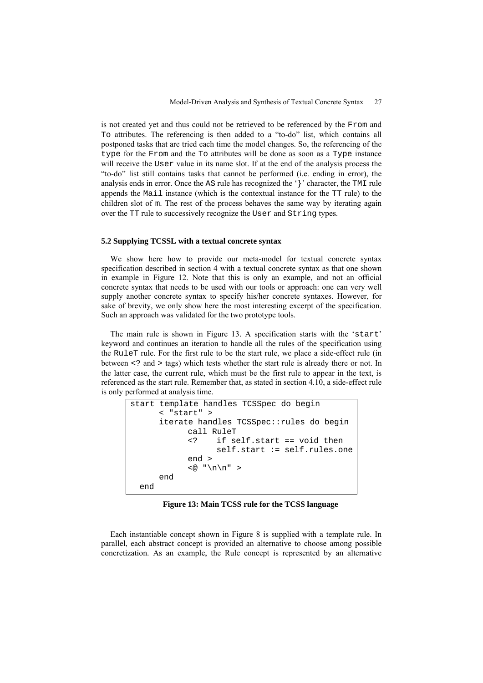is not created yet and thus could not be retrieved to be referenced by the From and To attributes. The referencing is then added to a "to-do" list, which contains all postponed tasks that are tried each time the model changes. So, the referencing of the type for the From and the To attributes will be done as soon as a Type instance will receive the User value in its name slot. If at the end of the analysis process the "to-do" list still contains tasks that cannot be performed (i.e. ending in error), the analysis ends in error. Once the AS rule has recognized the '}' character, the TMI rule appends the Mail instance (which is the contextual instance for the TT rule) to the children slot of m. The rest of the process behaves the same way by iterating again over the TT rule to successively recognize the User and String types.

#### **5.2 Supplying TCSSL with a textual concrete syntax**

We show here how to provide our meta-model for textual concrete syntax specification described in section 4 with a textual concrete syntax as that one shown in example in Figure 12. Note that this is only an example, and not an official concrete syntax that needs to be used with our tools or approach: one can very well supply another concrete syntax to specify his/her concrete syntaxes. However, for sake of brevity, we only show here the most interesting excerpt of the specification. Such an approach was validated for the two prototype tools.

The main rule is shown in Figure 13. A specification starts with the 'start' keyword and continues an iteration to handle all the rules of the specification using the RuleT rule. For the first rule to be the start rule, we place a side-effect rule (in between <? and > tags) which tests whether the start rule is already there or not. In the latter case, the current rule, which must be the first rule to appear in the text, is referenced as the start rule. Remember that, as stated in section 4.10, a side-effect rule is only performed at analysis time.

```
start template handles TCSSpec do begin 
        < "start" > 
        iterate handles TCSSpec::rules do begin 
              call RuleT 
               <? if self.start == void then 
                      self.start := self.rules.one 
              end > 
              \langle\mathbb{Q} "\n\n" >
        end 
  end
```
**Figure 13: Main TCSS rule for the TCSS language** 

Each instantiable concept shown in Figure 8 is supplied with a template rule. In parallel, each abstract concept is provided an alternative to choose among possible concretization. As an example, the Rule concept is represented by an alternative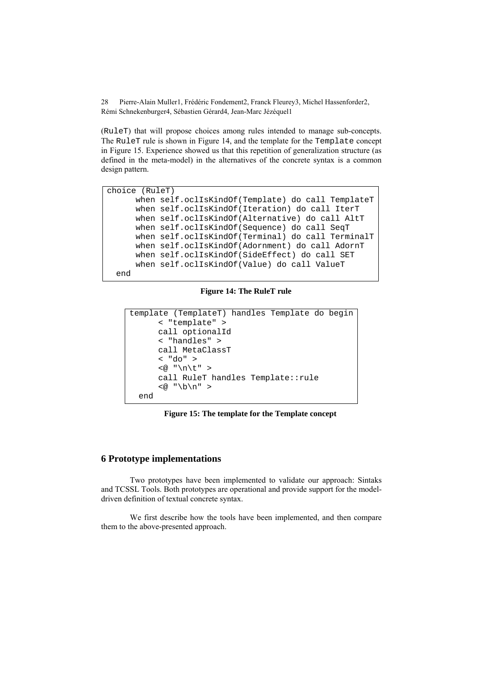(RuleT) that will propose choices among rules intended to manage sub-concepts. The RuleT rule is shown in Figure 14, and the template for the Template concept in Figure 15. Experience showed us that this repetition of generalization structure (as defined in the meta-model) in the alternatives of the concrete syntax is a common design pattern.

```
choice (RuleT) 
       when self.oclIsKindOf(Template) do call TemplateT 
       when self.oclIsKindOf(Iteration) do call IterT 
       when self.oclIsKindOf(Alternative) do call AltT 
      when self.oclIsKindOf(Sequence) do call SeqT
       when self.oclIsKindOf(Terminal) do call TerminalT 
       when self.oclIsKindOf(Adornment) do call AdornT 
      when self.oclIsKindOf(SideEffect) do call SET
       when self.oclIsKindOf(Value) do call ValueT 
 end
```
**Figure 14: The RuleT rule** 

```
template (TemplateT) handles Template do begin 
       < "template" > 
       call optionalId 
       < "handles" > 
       call MetaClassT 
       < "do" > 
       <@ "\n\t" > 
       call RuleT handles Template::rule 
       <@ "\b\n" > 
  end
```
**Figure 15: The template for the Template concept** 

# **6 Prototype implementations**

Two prototypes have been implemented to validate our approach: Sintaks and TCSSL Tools. Both prototypes are operational and provide support for the modeldriven definition of textual concrete syntax.

We first describe how the tools have been implemented, and then compare them to the above-presented approach.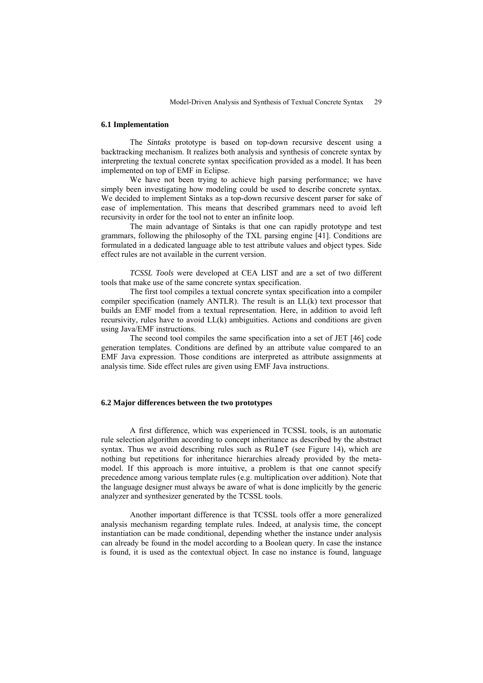#### **6.1 Implementation**

The *Sintaks* prototype is based on top-down recursive descent using a backtracking mechanism. It realizes both analysis and synthesis of concrete syntax by interpreting the textual concrete syntax specification provided as a model. It has been implemented on top of EMF in Eclipse.

We have not been trying to achieve high parsing performance; we have simply been investigating how modeling could be used to describe concrete syntax. We decided to implement Sintaks as a top-down recursive descent parser for sake of ease of implementation. This means that described grammars need to avoid left recursivity in order for the tool not to enter an infinite loop.

The main advantage of Sintaks is that one can rapidly prototype and test grammars, following the philosophy of the TXL parsing engine [41]. Conditions are formulated in a dedicated language able to test attribute values and object types. Side effect rules are not available in the current version.

*TCSSL Tools* were developed at CEA LIST and are a set of two different tools that make use of the same concrete syntax specification.

The first tool compiles a textual concrete syntax specification into a compiler compiler specification (namely ANTLR). The result is an LL(k) text processor that builds an EMF model from a textual representation. Here, in addition to avoid left recursivity, rules have to avoid LL(k) ambiguities. Actions and conditions are given using Java/EMF instructions.

The second tool compiles the same specification into a set of JET [46] code generation templates. Conditions are defined by an attribute value compared to an EMF Java expression. Those conditions are interpreted as attribute assignments at analysis time. Side effect rules are given using EMF Java instructions.

# **6.2 Major differences between the two prototypes**

A first difference, which was experienced in TCSSL tools, is an automatic rule selection algorithm according to concept inheritance as described by the abstract syntax. Thus we avoid describing rules such as RuleT (see Figure 14), which are nothing but repetitions for inheritance hierarchies already provided by the metamodel. If this approach is more intuitive, a problem is that one cannot specify precedence among various template rules (e.g. multiplication over addition). Note that the language designer must always be aware of what is done implicitly by the generic analyzer and synthesizer generated by the TCSSL tools.

Another important difference is that TCSSL tools offer a more generalized analysis mechanism regarding template rules. Indeed, at analysis time, the concept instantiation can be made conditional, depending whether the instance under analysis can already be found in the model according to a Boolean query. In case the instance is found, it is used as the contextual object. In case no instance is found, language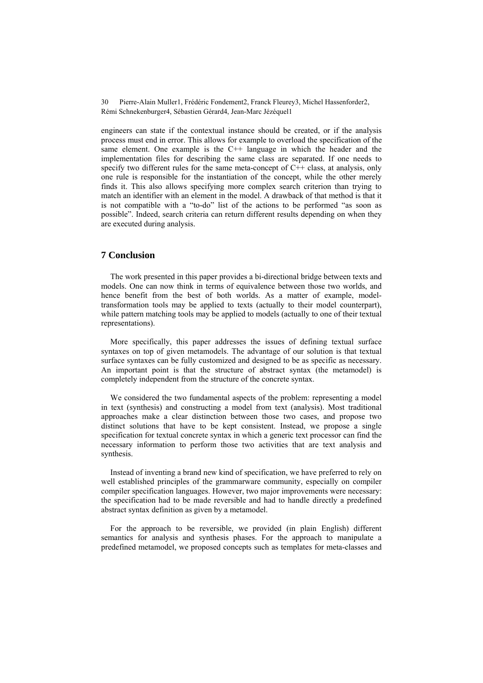engineers can state if the contextual instance should be created, or if the analysis process must end in error. This allows for example to overload the specification of the same element. One example is the C++ language in which the header and the implementation files for describing the same class are separated. If one needs to specify two different rules for the same meta-concept of C++ class, at analysis, only one rule is responsible for the instantiation of the concept, while the other merely finds it. This also allows specifying more complex search criterion than trying to match an identifier with an element in the model. A drawback of that method is that it is not compatible with a "to-do" list of the actions to be performed "as soon as possible". Indeed, search criteria can return different results depending on when they are executed during analysis.

# **7 Conclusion**

The work presented in this paper provides a bi-directional bridge between texts and models. One can now think in terms of equivalence between those two worlds, and hence benefit from the best of both worlds. As a matter of example, modeltransformation tools may be applied to texts (actually to their model counterpart), while pattern matching tools may be applied to models (actually to one of their textual representations).

More specifically, this paper addresses the issues of defining textual surface syntaxes on top of given metamodels. The advantage of our solution is that textual surface syntaxes can be fully customized and designed to be as specific as necessary. An important point is that the structure of abstract syntax (the metamodel) is completely independent from the structure of the concrete syntax.

We considered the two fundamental aspects of the problem: representing a model in text (synthesis) and constructing a model from text (analysis). Most traditional approaches make a clear distinction between those two cases, and propose two distinct solutions that have to be kept consistent. Instead, we propose a single specification for textual concrete syntax in which a generic text processor can find the necessary information to perform those two activities that are text analysis and synthesis.

Instead of inventing a brand new kind of specification, we have preferred to rely on well established principles of the grammarware community, especially on compiler compiler specification languages. However, two major improvements were necessary: the specification had to be made reversible and had to handle directly a predefined abstract syntax definition as given by a metamodel.

For the approach to be reversible, we provided (in plain English) different semantics for analysis and synthesis phases. For the approach to manipulate a predefined metamodel, we proposed concepts such as templates for meta-classes and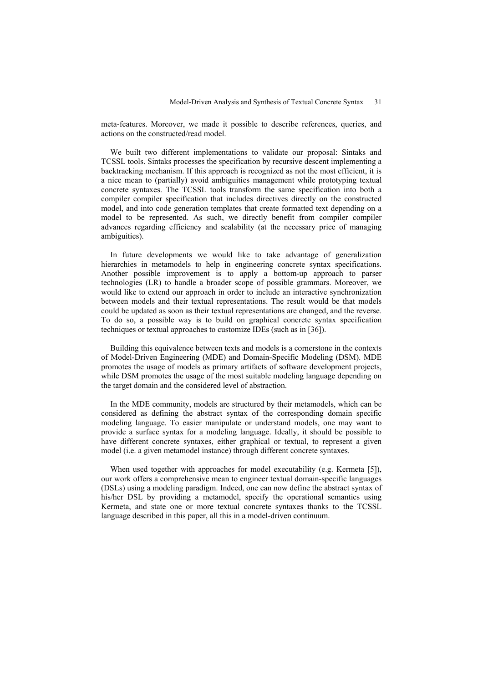meta-features. Moreover, we made it possible to describe references, queries, and actions on the constructed/read model.

We built two different implementations to validate our proposal: Sintaks and TCSSL tools. Sintaks processes the specification by recursive descent implementing a backtracking mechanism. If this approach is recognized as not the most efficient, it is a nice mean to (partially) avoid ambiguities management while prototyping textual concrete syntaxes. The TCSSL tools transform the same specification into both a compiler compiler specification that includes directives directly on the constructed model, and into code generation templates that create formatted text depending on a model to be represented. As such, we directly benefit from compiler compiler advances regarding efficiency and scalability (at the necessary price of managing ambiguities).

In future developments we would like to take advantage of generalization hierarchies in metamodels to help in engineering concrete syntax specifications. Another possible improvement is to apply a bottom-up approach to parser technologies (LR) to handle a broader scope of possible grammars. Moreover, we would like to extend our approach in order to include an interactive synchronization between models and their textual representations. The result would be that models could be updated as soon as their textual representations are changed, and the reverse. To do so, a possible way is to build on graphical concrete syntax specification techniques or textual approaches to customize IDEs (such as in [36]).

Building this equivalence between texts and models is a cornerstone in the contexts of Model-Driven Engineering (MDE) and Domain-Specific Modeling (DSM). MDE promotes the usage of models as primary artifacts of software development projects, while DSM promotes the usage of the most suitable modeling language depending on the target domain and the considered level of abstraction.

In the MDE community, models are structured by their metamodels, which can be considered as defining the abstract syntax of the corresponding domain specific modeling language. To easier manipulate or understand models, one may want to provide a surface syntax for a modeling language. Ideally, it should be possible to have different concrete syntaxes, either graphical or textual, to represent a given model (i.e. a given metamodel instance) through different concrete syntaxes.

When used together with approaches for model executability (e.g. Kermeta [5]), our work offers a comprehensive mean to engineer textual domain-specific languages (DSLs) using a modeling paradigm. Indeed, one can now define the abstract syntax of his/her DSL by providing a metamodel, specify the operational semantics using Kermeta, and state one or more textual concrete syntaxes thanks to the TCSSL language described in this paper, all this in a model-driven continuum.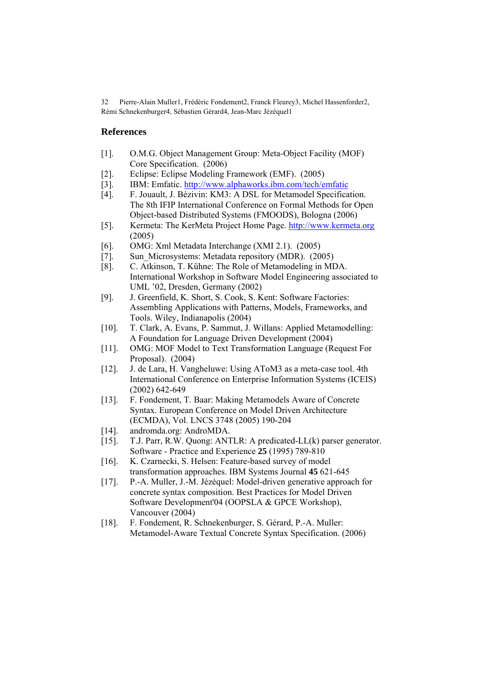# **References**

- [1]. O.M.G. Object Management Group: Meta-Object Facility (MOF) Core Specification. (2006)
- [2]. Eclipse: Eclipse Modeling Framework (EMF). (2005)
- [3]. IBM: Emfatic.<http://www.alphaworks.ibm.com/tech/emfatic>
- [4]. F. Jouault, J. Bézivin: KM3: A DSL for Metamodel Specification. The 8th IFIP International Conference on Formal Methods for Open Object-based Distributed Systems (FMOODS), Bologna (2006)
- [5]. Kermeta: The KerMeta Project Home Page. [http://www.kermeta.org](http://www.kermeta.org/) (2005)
- [6]. OMG: Xml Metadata Interchange (XMI 2.1). (2005)
- [7]. Sun Microsystems: Metadata repository (MDR). (2005)
- [8]. C. Atkinson, T. Kühne: The Role of Metamodeling in MDA. International Workshop in Software Model Engineering associated to UML '02, Dresden, Germany (2002)
- [9]. J. Greenfield, K. Short, S. Cook, S. Kent: Software Factories: Assembling Applications with Patterns, Models, Frameworks, and Tools. Wiley, Indianapolis (2004)
- [10]. T. Clark, A. Evans, P. Sammut, J. Willans: Applied Metamodelling: A Foundation for Language Driven Development (2004)
- [11]. OMG: MOF Model to Text Transformation Language (Request For Proposal). (2004)
- [12]. J. de Lara, H. Vangheluwe: Using AToM3 as a meta-case tool. 4th International Conference on Enterprise Information Systems (ICEIS) (2002) 642-649
- [13]. F. Fondement, T. Baar: Making Metamodels Aware of Concrete Syntax. European Conference on Model Driven Architecture (ECMDA), Vol. LNCS 3748 (2005) 190-204
- [14]. andromda.org: AndroMDA.
- [15]. T.J. Parr, R.W. Quong: ANTLR: A predicated-LL(k) parser generator. Software - Practice and Experience **25** (1995) 789-810
- [16]. K. Czarnecki, S. Helsen: Feature-based survey of model transformation approaches. IBM Systems Journal **45** 621-645
- [17]. P.-A. Muller, J.-M. Jézéquel: Model-driven generative approach for concrete syntax composition. Best Practices for Model Driven Software Development'04 (OOPSLA & GPCE Workshop), Vancouver (2004)
- [18]. F. Fondement, R. Schnekenburger, S. Gérard, P.-A. Muller: Metamodel-Aware Textual Concrete Syntax Specification. (2006)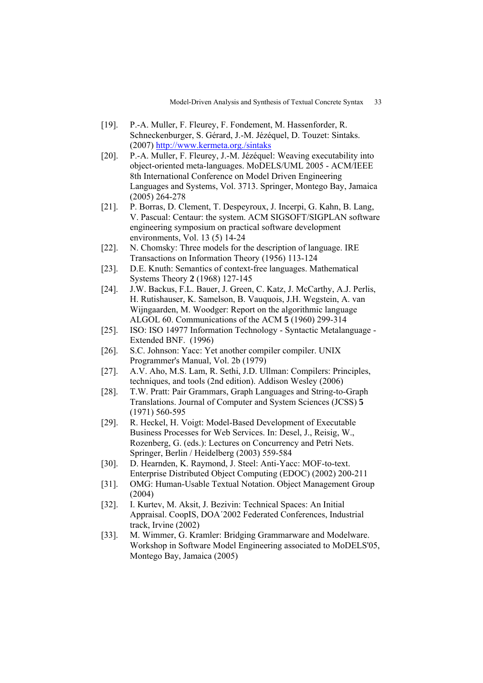- [19]. P.-A. Muller, F. Fleurey, F. Fondement, M. Hassenforder, R. Schneckenburger, S. Gérard, J.-M. Jézéquel, D. Touzet: Sintaks. (2007)<http://www.kermeta.org./sintaks>
- [20]. P.-A. Muller, F. Fleurey, J.-M. Jézéquel: Weaving executability into object-oriented meta-languages. MoDELS/UML 2005 - ACM/IEEE 8th International Conference on Model Driven Engineering Languages and Systems, Vol. 3713. Springer, Montego Bay, Jamaica (2005) 264-278
- [21]. P. Borras, D. Clement, T. Despeyroux, J. Incerpi, G. Kahn, B. Lang, V. Pascual: Centaur: the system. ACM SIGSOFT/SIGPLAN software engineering symposium on practical software development environments, Vol. 13 (5) 14-24
- [22]. N. Chomsky: Three models for the description of language. IRE Transactions on Information Theory (1956) 113-124
- [23]. D.E. Knuth: Semantics of context-free languages. Mathematical Systems Theory **2** (1968) 127-145
- [24]. J.W. Backus, F.L. Bauer, J. Green, C. Katz, J. McCarthy, A.J. Perlis, H. Rutishauser, K. Samelson, B. Vauquois, J.H. Wegstein, A. van Wijngaarden, M. Woodger: Report on the algorithmic language ALGOL 60. Communications of the ACM **5** (1960) 299-314
- [25]. ISO: ISO 14977 Information Technology Syntactic Metalanguage Extended BNF. (1996)
- [26]. S.C. Johnson: Yacc: Yet another compiler compiler. UNIX Programmer's Manual, Vol. 2b (1979)
- [27]. A.V. Aho, M.S. Lam, R. Sethi, J.D. Ullman: Compilers: Principles, techniques, and tools (2nd edition). Addison Wesley (2006)
- [28]. T.W. Pratt: Pair Grammars, Graph Languages and String-to-Graph Translations. Journal of Computer and System Sciences (JCSS) **5**  (1971) 560-595
- [29]. R. Heckel, H. Voigt: Model-Based Development of Executable Business Processes for Web Services. In: Desel, J., Reisig, W., Rozenberg, G. (eds.): Lectures on Concurrency and Petri Nets. Springer, Berlin / Heidelberg (2003) 559-584
- [30]. D. Hearnden, K. Raymond, J. Steel: Anti-Yacc: MOF-to-text. Enterprise Distributed Object Computing (EDOC) (2002) 200-211
- [31]. OMG: Human-Usable Textual Notation. Object Management Group (2004)
- [32]. I. Kurtev, M. Aksit, J. Bezivin: Technical Spaces: An Initial Appraisal. CoopIS, DOA´2002 Federated Conferences, Industrial track, Irvine (2002)
- [33]. M. Wimmer, G. Kramler: Bridging Grammarware and Modelware. Workshop in Software Model Engineering associated to MoDELS'05, Montego Bay, Jamaica (2005)